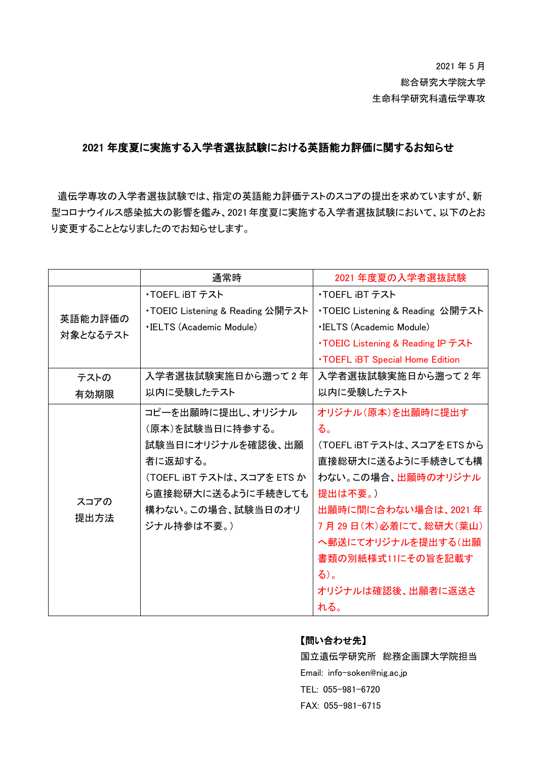# 2021 年 5 月 総合研究大学院大学 生命科学研究科遺伝学専攻

## 2021 年度夏に実施する入学者選抜試験における英語能力評価に関するお知らせ

遺伝学専攻の入学者選抜試験では、指定の英語能力評価テストのスコアの提出を求めていますが、新 型コロナウイルス感染拡大の影響を鑑み、2021年度夏に実施する入学者選抜試験において、以下のとお り変更することとなりましたのでお知らせします。

|                     | 通常時                              | 2021 年度夏の入学者選抜試験                        |
|---------------------|----------------------------------|-----------------------------------------|
| 英語能力評価の<br>対象となるテスト | ・TOEFL iBT テスト                   | ・TOEFL iBT テスト                          |
|                     | ・TOEIC Listening & Reading 公開テスト | ・TOEIC Listening & Reading 公開テスト        |
|                     | <b>.IELTS (Academic Module)</b>  | <b>.IELTS (Academic Module)</b>         |
|                     |                                  | •TOEIC Listening & Reading IP テスト       |
|                     |                                  | <b>. TOEFL IBT Special Home Edition</b> |
| テストの                | 入学者選抜試験実施日から遡って2年                | 入学者選抜試験実施日から遡って2年                       |
| 有効期限                | 以内に受験したテスト                       | 以内に受験したテスト                              |
| スコアの<br>提出方法        | コピーを出願時に提出し、オリジナル                | オリジナル(原本)を出願時に提出す                       |
|                     | (原本)を試験当日に持参する。                  | る。                                      |
|                     | 試験当日にオリジナルを確認後、出願                | (TOEFL iBTテストは、スコアをETSから                |
|                     | 者に返却する。                          | 直接総研大に送るように手続きしても構                      |
|                     | (TOEFL iBT テストは、スコアを ETS か       | わない。この場合、出願時のオリジナル                      |
|                     | ら直接総研大に送るように手続きしても               | 提出は不要。)                                 |
|                     | 構わない。この場合、試験当日のオリ                | 出願時に間に合わない場合は、2021年                     |
|                     | ジナル持参は不要。)                       | 7月29日(木)必着にて、総研大(葉山)                    |
|                     |                                  | へ郵送にてオリジナルを提出する(出願                      |
|                     |                                  | 書類の別紙様式11にその旨を記載す                       |
|                     |                                  | る)。                                     |
|                     |                                  | オリジナルは確認後、出願者に返送さ                       |
|                     |                                  | れる。                                     |

### 【問い合わせ先】

国立遺伝学研究所 総務企画課大学院担当 Email: info-soken@nig.ac.jp TEL: 055-981-6720 FAX: 055-981-6715